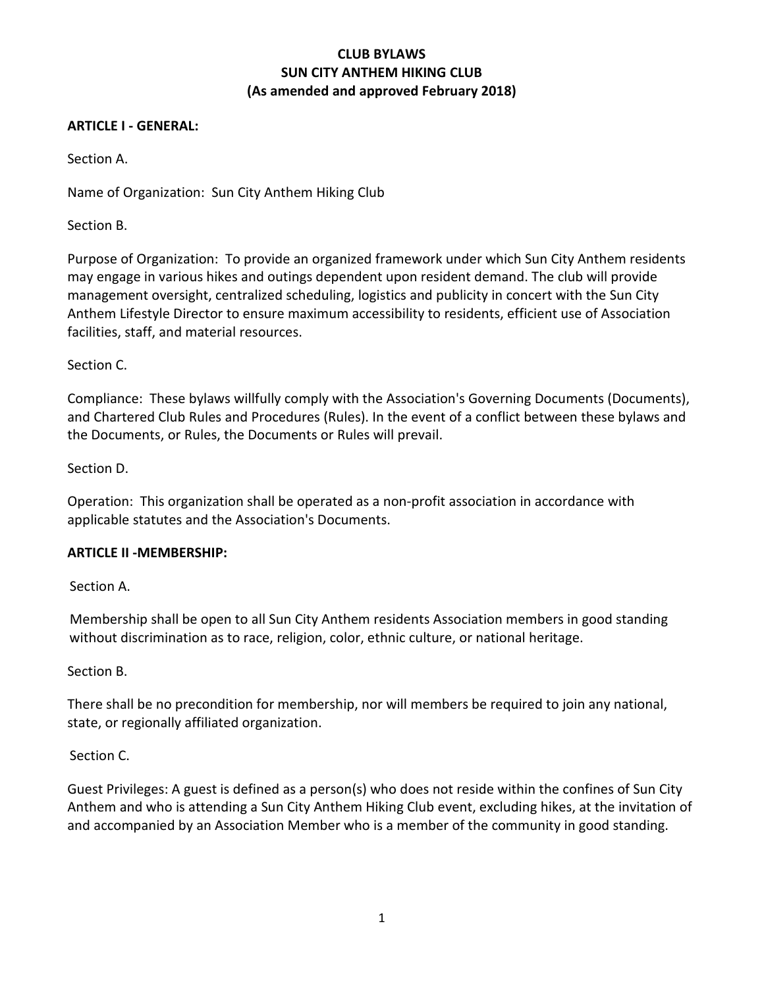#### **ARTICLE I - GENERAL:**

Section A.

Name of Organization: Sun City Anthem Hiking Club

Section B.

Purpose of Organization: To provide an organized framework under which Sun City Anthem residents may engage in various hikes and outings dependent upon resident demand. The club will provide management oversight, centralized scheduling, logistics and publicity in concert with the Sun City Anthem Lifestyle Director to ensure maximum accessibility to residents, efficient use of Association facilities, staff, and material resources.

#### Section C.

Compliance: These bylaws willfully comply with the Association's Governing Documents (Documents), and Chartered Club Rules and Procedures (Rules). In the event of a conflict between these bylaws and the Documents, or Rules, the Documents or Rules will prevail.

#### Section D.

Operation: This organization shall be operated as a non-profit association in accordance with applicable statutes and the Association's Documents.

#### **ARTICLE II -MEMBERSHIP:**

Section A.

Membership shall be open to all Sun City Anthem residents Association members in good standing without discrimination as to race, religion, color, ethnic culture, or national heritage.

#### Section B.

There shall be no precondition for membership, nor will members be required to join any national, state, or regionally affiliated organization.

#### Section C.

Guest Privileges: A guest is defined as a person(s) who does not reside within the confines of Sun City Anthem and who is attending a Sun City Anthem Hiking Club event, excluding hikes, at the invitation of and accompanied by an Association Member who is a member of the community in good standing.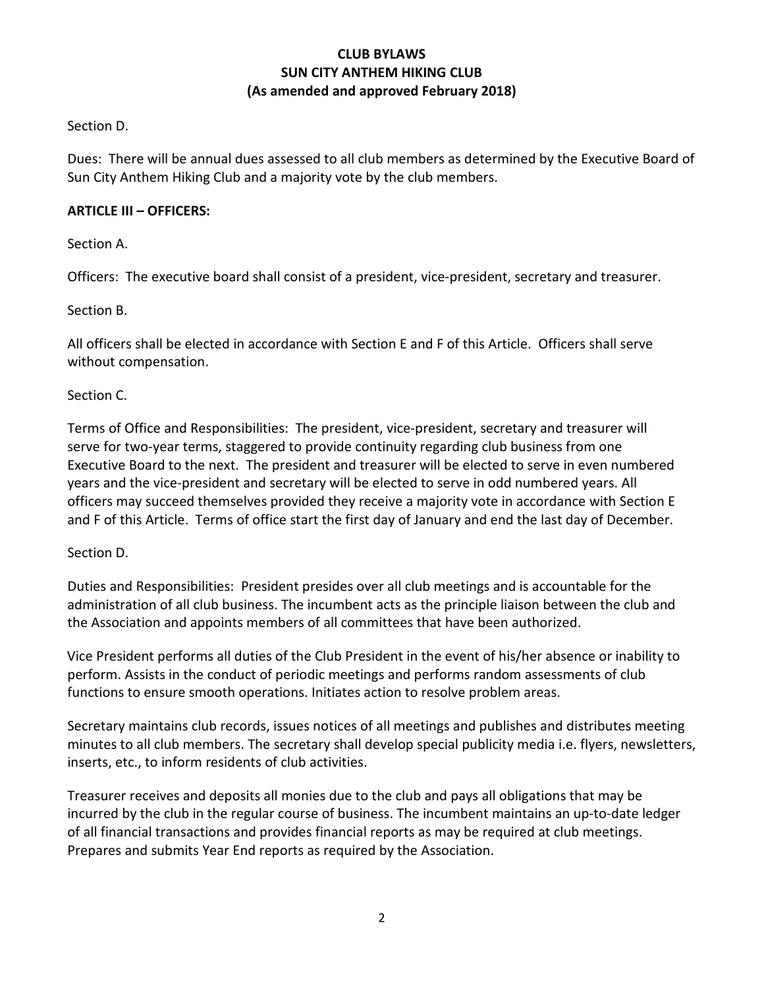Section D.

Dues: There will be annual dues assessed to all club members as determined by the Executive Board of Sun City Anthem Hiking Club and a majority vote by the club members.

#### **ARTICLE III – OFFICERS:**

Section A.

Officers: The executive board shall consist of a president, vice-president, secretary and treasurer.

Section B.

All officers shall be elected in accordance with Section E and F of this Article. Officers shall serve without compensation.

Section C.

Terms of Office and Responsibilities: The president, vice-president, secretary and treasurer will serve for two-year terms, staggered to provide continuity regarding club business from one Executive Board to the next. The president and treasurer will be elected to serve in even numbered years and the vice-president and secretary will be elected to serve in odd numbered years. All officers may succeed themselves provided they receive a majority vote in accordance with Section E and F of this Article. Terms of office start the first day of January and end the last day of December.

### Section D.

Duties and Responsibilities: President presides over all club meetings and is accountable for the administration of all club business. The incumbent acts as the principle liaison between the club and the Association and appoints members of all committees that have been authorized.

Vice President performs all duties of the Club President in the event of his/her absence or inability to perform. Assists in the conduct of periodic meetings and performs random assessments of club functions to ensure smooth operations. Initiates action to resolve problem areas.

Secretary maintains club records, issues notices of all meetings and publishes and distributes meeting minutes to all club members. The secretary shall develop special publicity media i.e. flyers, newsletters, inserts, etc., to inform residents of club activities.

Treasurer receives and deposits all monies due to the club and pays all obligations that may be incurred by the club in the regular course of business. The incumbent maintains an up-to-date ledger of all financial transactions and provides financial reports as may be required at club meetings. Prepares and submits Year End reports as required by the Association.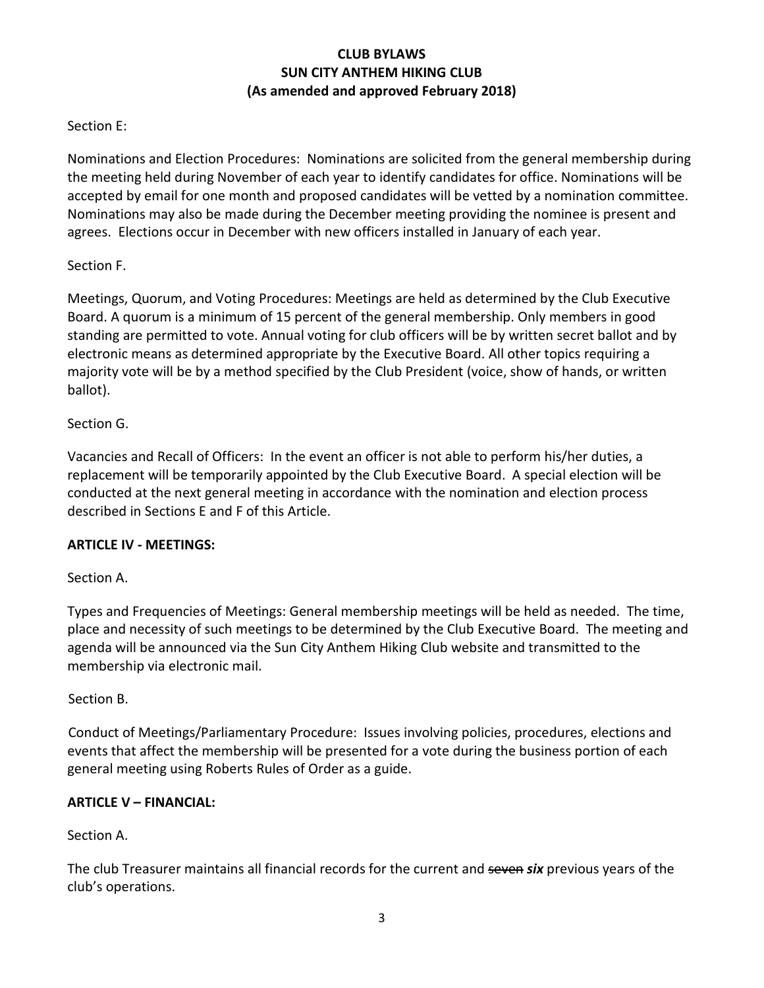### Section E:

Nominations and Election Procedures: Nominations are solicited from the general membership during the meeting held during November of each year to identify candidates for office. Nominations will be accepted by email for one month and proposed candidates will be vetted by a nomination committee. Nominations may also be made during the December meeting providing the nominee is present and agrees. Elections occur in December with new officers installed in January of each year.

### Section F.

Meetings, Quorum, and Voting Procedures: Meetings are held as determined by the Club Executive Board. A quorum is a minimum of 15 percent of the general membership. Only members in good standing are permitted to vote. Annual voting for club officers will be by written secret ballot and by electronic means as determined appropriate by the Executive Board. All other topics requiring a majority vote will be by a method specified by the Club President (voice, show of hands, or written ballot).

# Section G.

Vacancies and Recall of Officers: In the event an officer is not able to perform his/her duties, a replacement will be temporarily appointed by the Club Executive Board. A special election will be conducted at the next general meeting in accordance with the nomination and election process described in Sections E and F of this Article.

### **ARTICLE IV - MEETINGS:**

### Section A.

Types and Frequencies of Meetings: General membership meetings will be held as needed. The time, place and necessity of such meetings to be determined by the Club Executive Board. The meeting and agenda will be announced via the Sun City Anthem Hiking Club website and transmitted to the membership via electronic mail.

### Section B.

Conduct of Meetings/Parliamentary Procedure: Issues involving policies, procedures, elections and events that affect the membership will be presented for a vote during the business portion of each general meeting using Roberts Rules of Order as a guide.

### **ARTICLE V – FINANCIAL:**

# Section A.

The club Treasurer maintains all financial records for the current and seven *six* previous years of the club's operations.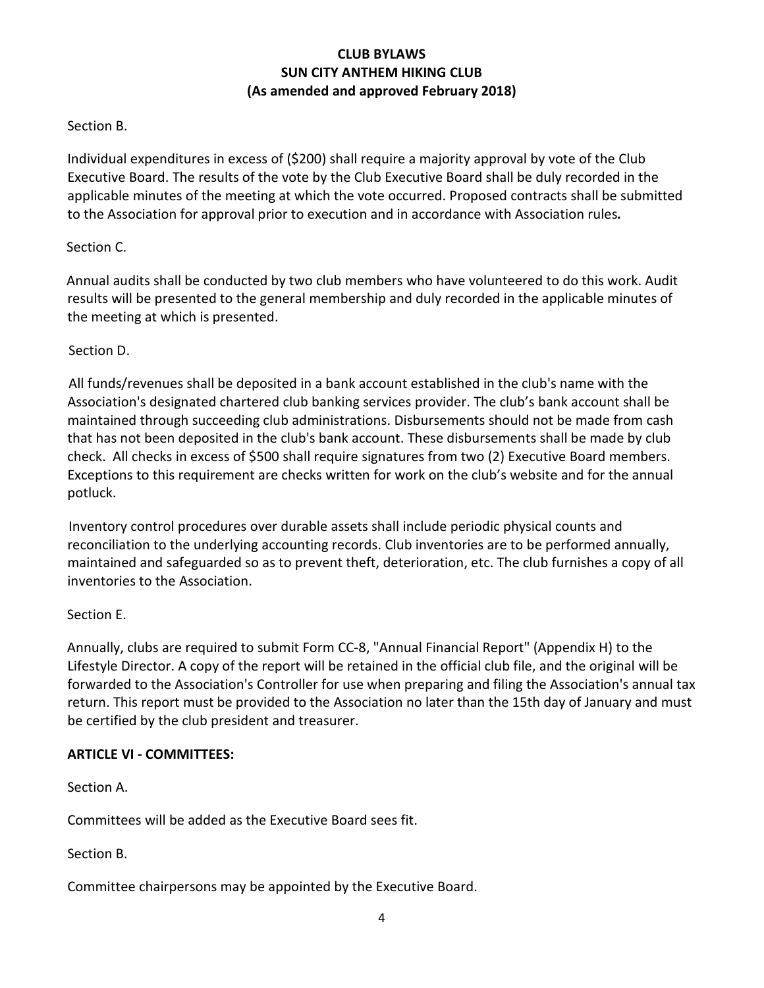### Section B.

Individual expenditures in excess of (\$200) shall require a majority approval by vote of the Club Executive Board. The results of the vote by the Club Executive Board shall be duly recorded in the applicable minutes of the meeting at which the vote occurred. Proposed contracts shall be submitted to the Association for approval prior to execution and in accordance with Association rules*.* 

### Section C.

Annual audits shall be conducted by two club members who have volunteered to do this work. Audit results will be presented to the general membership and duly recorded in the applicable minutes of the meeting at which is presented.

# Section D.

All funds/revenues shall be deposited in a bank account established in the club's name with the Association's designated chartered club banking services provider. The club's bank account shall be maintained through succeeding club administrations. Disbursements should not be made from cash that has not been deposited in the club's bank account. These disbursements shall be made by club check. All checks in excess of \$500 shall require signatures from two (2) Executive Board members. Exceptions to this requirement are checks written for work on the club's website and for the annual potluck.

Inventory control procedures over durable assets shall include periodic physical counts and reconciliation to the underlying accounting records. Club inventories are to be performed annually, maintained and safeguarded so as to prevent theft, deterioration, etc. The club furnishes a copy of all inventories to the Association.

### Section E.

Annually, clubs are required to submit Form CC-8, "Annual Financial Report" (Appendix H) to the Lifestyle Director. A copy of the report will be retained in the official club file, and the original will be forwarded to the Association's Controller for use when preparing and filing the Association's annual tax return. This report must be provided to the Association no later than the 15th day of January and must be certified by the club president and treasurer.

### **ARTICLE VI - COMMITTEES:**

Section A.

Committees will be added as the Executive Board sees fit.

Section B.

Committee chairpersons may be appointed by the Executive Board.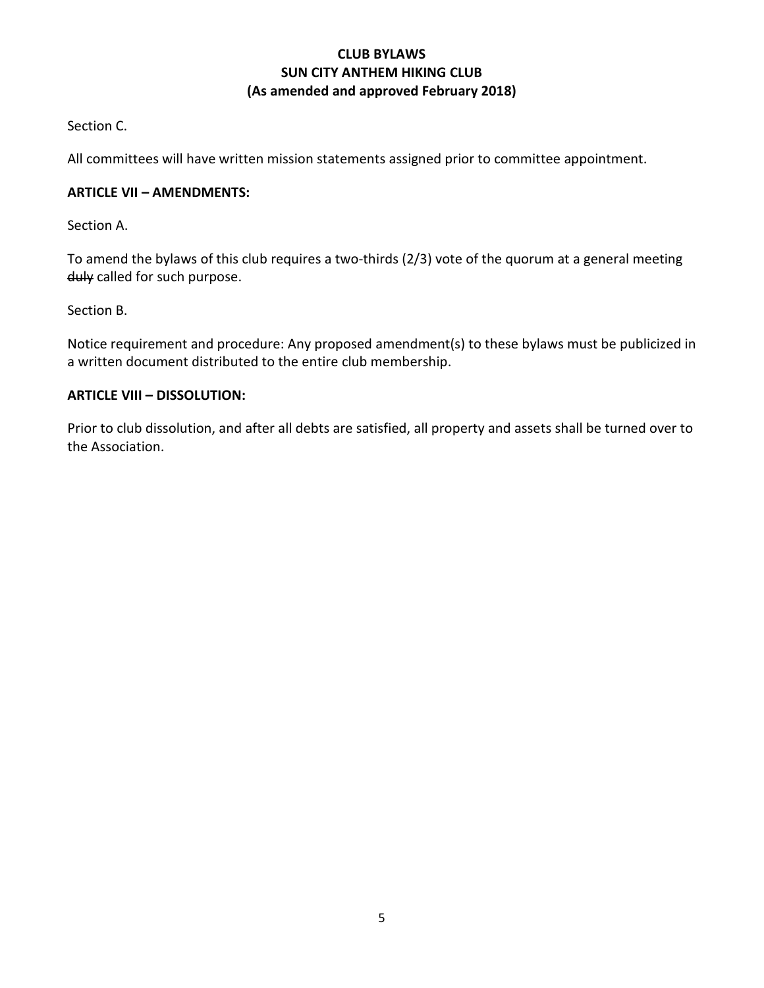Section C.

All committees will have written mission statements assigned prior to committee appointment.

#### **ARTICLE VII – AMENDMENTS:**

Section A.

To amend the bylaws of this club requires a two-thirds (2/3) vote of the quorum at a general meeting duly called for such purpose.

Section B.

Notice requirement and procedure: Any proposed amendment(s) to these bylaws must be publicized in a written document distributed to the entire club membership.

#### **ARTICLE VIII – DISSOLUTION:**

Prior to club dissolution, and after all debts are satisfied, all property and assets shall be turned over to the Association.